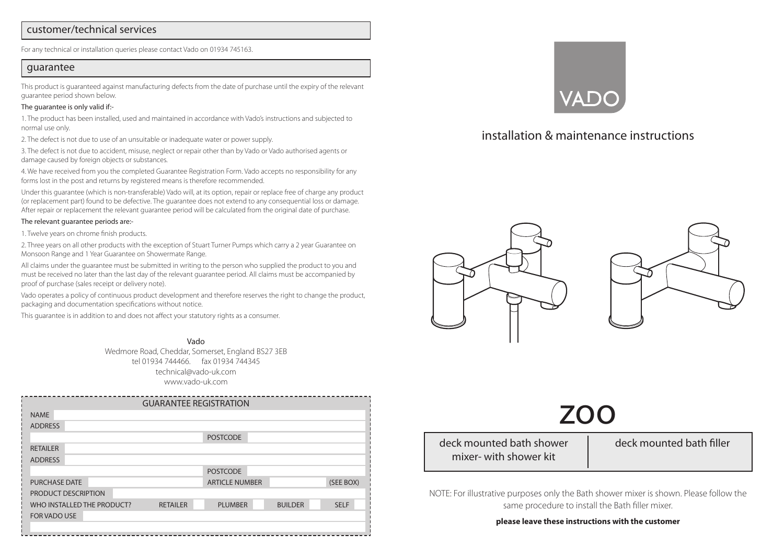#### customer/technical services

For any technical or installation queries please contact Vado on 01934 745163.

#### guarantee

This product is guaranteed against manufacturing defects from the date of purchase until the expiry of the relevant guarantee period shown below.

#### The guarantee is only valid if:-

1. The product has been installed, used and maintained in accordance with Vado's instructions and subjected to normal use only.

2. The defect is not due to use of an unsuitable or inadequate water or power supply.

3. The defect is not due to accident, misuse, neglect or repair other than by Vado or Vado authorised agents or damage caused by foreign objects or substances.

4. We have received from you the completed Guarantee Registration Form. Vado accepts no responsibility for any forms lost in the post and returns by registered means is therefore recommended.

Under this guarantee (which is non-transferable) Vado will, at its option, repair or replace free of charge any product (or replacement part) found to be defective. The guarantee does not extend to any consequential loss or damage. After repair or replacement the relevant guarantee period will be calculated from the original date of purchase.

#### The relevant guarantee periods are:-

1. Twelve years on chrome finish products.

2. Three years on all other products with the exception of Stuart Turner Pumps which carry a 2 year Guarantee on Monsoon Range and 1 Year Guarantee on Showermate Range.

All claims under the guarantee must be submitted in writing to the person who supplied the product to you and must be received no later than the last day of the relevant guarantee period. All claims must be accompanied by proof of purchase (sales receipt or delivery note).

Vado operates a policy of continuous product development and therefore reserves the right to change the product, packaging and documentation specifications without notice.

This guarantee is in addition to and does not affect your statutory rights as a consumer.

Vado Wedmore Road, Cheddar, Somerset, England BS27 3EB tel 01934 744466. fax 01934 744345 technical@vado-uk.com www.vado-uk.com

|                            |                 | <b>GUARANTEE REGISTRATION</b> |                |             |
|----------------------------|-----------------|-------------------------------|----------------|-------------|
| <b>NAME</b>                |                 |                               |                |             |
| <b>ADDRESS</b>             |                 |                               |                |             |
|                            |                 | <b>POSTCODE</b>               |                |             |
| <b>RETAILER</b>            |                 |                               |                |             |
| <b>ADDRESS</b>             |                 |                               |                |             |
|                            |                 | <b>POSTCODE</b>               |                |             |
| <b>PURCHASE DATE</b>       |                 | <b>ARTICLE NUMBER</b>         |                | (SEE BOX)   |
| PRODUCT DESCRIPTION        |                 |                               |                |             |
| WHO INSTALLED THE PRODUCT? | <b>RETAILER</b> | <b>PLUMBER</b>                | <b>BUILDER</b> | <b>SELF</b> |
| <b>FOR VADO USE</b>        |                 |                               |                |             |
|                            |                 |                               |                |             |



# installation & maintenance instructions





# zoo

deck mounted bath shower mixer- with shower kit

deck mounted bath filler

NOTE: For illustrative purposes only the Bath shower mixer is shown. Please follow the same procedure to install the Bath filler mixer.

#### **please leave these instructions with the customer**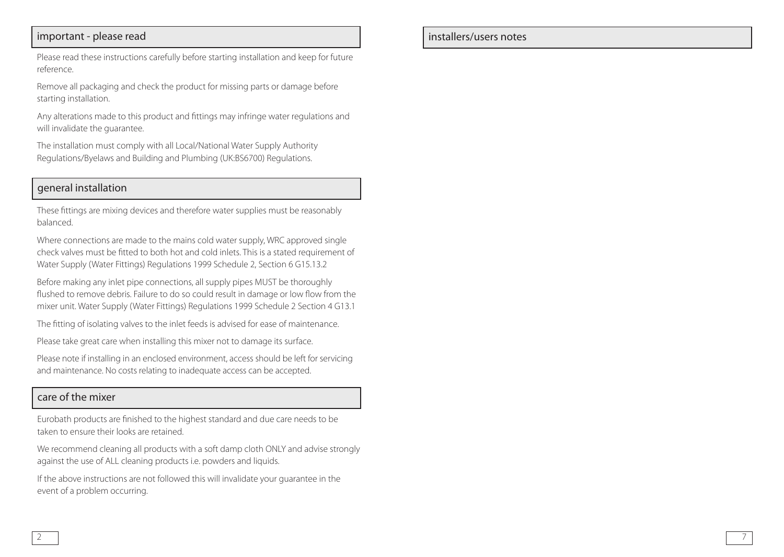### important - please read

Please read these instructions carefully before starting installation and keep for future reference.

Remove all packaging and check the product for missing parts or damage before starting installation.

Any alterations made to this product and fittings may infringe water regulations and will invalidate the guarantee.

The installation must comply with all Local/National Water Supply Authority Regulations/Byelaws and Building and Plumbing (UK:BS6700) Regulations.

### general installation

These fittings are mixing devices and therefore water supplies must be reasonably balanced.

Where connections are made to the mains cold water supply, WRC approved single check valves must be fitted to both hot and cold inlets. This is a stated requirement of Water Supply (Water Fittings) Regulations 1999 Schedule 2, Section 6 G15.13.2

Before making any inlet pipe connections, all supply pipes MUST be thoroughly flushed to remove debris. Failure to do so could result in damage or low flow from the mixer unit. Water Supply (Water Fittings) Regulations 1999 Schedule 2 Section 4 G13.1

The fitting of isolating valves to the inlet feeds is advised for ease of maintenance.

Please take great care when installing this mixer not to damage its surface.

Please note if installing in an enclosed environment, access should be left for servicing and maintenance. No costs relating to inadequate access can be accepted.

### care of the mixer

Eurobath products are finished to the highest standard and due care needs to be taken to ensure their looks are retained.

We recommend cleaning all products with a soft damp cloth ONLY and advise strongly against the use of ALL cleaning products i.e. powders and liquids.

If the above instructions are not followed this will invalidate your guarantee in the event of a problem occurring.

installers/users notes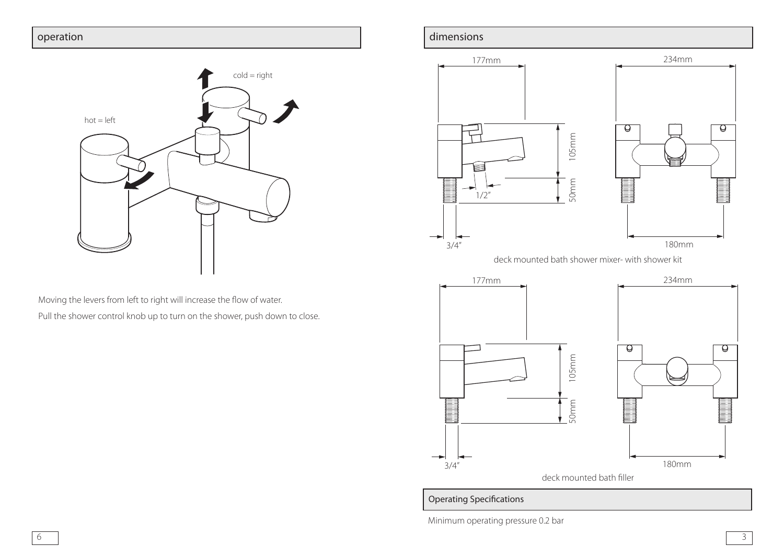

Moving the levers from left to right will increase the flow of water.

Pull the shower control knob up to turn on the shower, push down to close.

### operation and the contract of the contract of the contract of the contract of the contract of the contract of the contract of the contract of the contract of the contract of the contract of the contract of the contract of



deck mounted bath shower mixer- with shower kit



Operating Specifications

Minimum operating pressure 0.2 bar